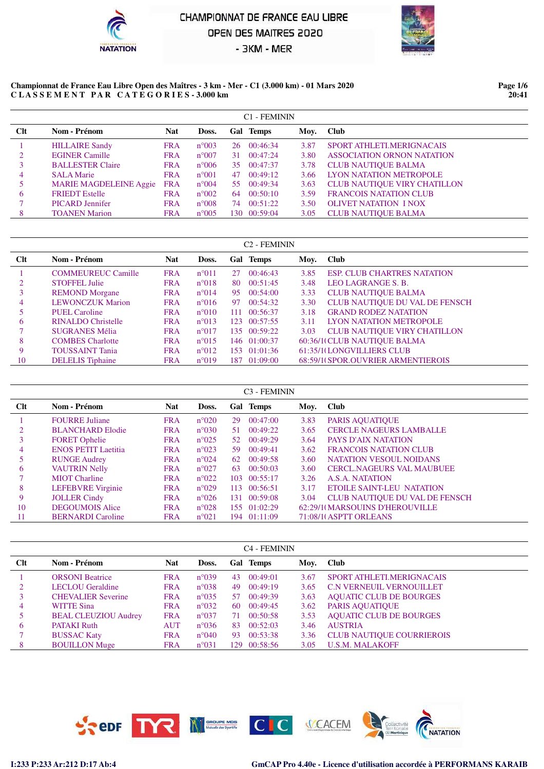



#### **Championnat de France Eau Libre Open des Maîtres - 3 km - Mer - C1 (3.000 km) - 01 Mars 2020 C L A S S E M E N T P A R C A T E G O R I E S - 3.000 km**

**Page 1/6 20:41**

|     |                               |            |                |    | <b>C1 - FEMININ</b> |      |                                     |
|-----|-------------------------------|------------|----------------|----|---------------------|------|-------------------------------------|
| Clt | Nom - Prénom                  | <b>Nat</b> | Doss.          |    | Gal Temps           | Moy. | <b>Club</b>                         |
|     | <b>HILLAIRE Sandy</b>         | <b>FRA</b> | $n^{\circ}003$ |    | 26 00:46:34         | 3.87 | SPORT ATHLETI MERIGNACAIS           |
|     | <b>EGINER Camille</b>         | <b>FRA</b> | $n^{\circ}007$ |    | 31 00:47:24         | 3.80 | <b>ASSOCIATION ORNON NATATION</b>   |
|     | <b>BALLESTER Claire</b>       | <b>FRA</b> | $n^{\circ}006$ | 35 | 00:47:37            | 3.78 | <b>CLUB NAUTIOUE BALMA</b>          |
| 4   | <b>SALA Marie</b>             | <b>FRA</b> | $n^{\circ}001$ | 47 | 00:49:12            | 3.66 | LYON NATATION METROPOLE             |
|     | <b>MARIE MAGDELEINE Aggie</b> | <b>FRA</b> | $n^{\circ}004$ |    | 55 00:49:34         | 3.63 | <b>CLUB NAUTIOUE VIRY CHATILLON</b> |
| 6   | <b>FRIEDT</b> Estelle         | <b>FRA</b> | $n^{\circ}002$ | 64 | 00:50:10            | 3.59 | <b>FRANCOIS NATATION CLUB</b>       |
|     | <b>PICARD</b> Jennifer        | <b>FRA</b> | $n^{\circ}008$ | 74 | 00:51:22            | 3.50 | <b>OLIVET NATATION I NOX</b>        |
| 8   | <b>TOANEN</b> Marion          | <b>FRA</b> | $n^{\circ}005$ |    | 130 00:59:04        | 3.05 | <b>CLUB NAUTIOUE BALMA</b>          |

|     |                           |            |                |    | C <sub>2</sub> - FEMININ |      |                                     |
|-----|---------------------------|------------|----------------|----|--------------------------|------|-------------------------------------|
| Clt | Nom - Prénom              | <b>Nat</b> | Doss.          |    | Gal Temps                | Moy. | <b>Club</b>                         |
|     | <b>COMMEUREUC Camille</b> | <b>FRA</b> | $n^{\circ}011$ | 27 | 00:46:43                 | 3.85 | <b>ESP. CLUB CHARTRES NATATION</b>  |
|     | <b>STOFFEL Julie</b>      | <b>FRA</b> | $n^{\circ}018$ | 80 | 00:51:45                 | 3.48 | <b>LEO LAGRANGE S. B.</b>           |
|     | <b>REMOND Morgane</b>     | <b>FRA</b> | $n^{\circ}014$ | 95 | 00:54:00                 | 3.33 | <b>CLUB NAUTIQUE BALMA</b>          |
| 4   | <b>LEWONCZUK Marion</b>   | <b>FRA</b> | $n^{\circ}016$ | 97 | 00:54:32                 | 3.30 | CLUB NAUTIQUE DU VAL DE FENSCH      |
|     | PUEL Caroline             | <b>FRA</b> | $n^{\circ}010$ |    | 111 00:56:37             | 3.18 | <b>GRAND RODEZ NATATION</b>         |
| 6   | <b>RINALDO Christelle</b> | <b>FRA</b> | $n^{\circ}013$ |    | 123 00:57:55             | 3.11 | LYON NATATION METROPOLE             |
|     | <b>SUGRANES Mélia</b>     | <b>FRA</b> | $n^{\circ}017$ |    | 135 00:59:22             | 3.03 | <b>CLUB NAUTIQUE VIRY CHATILLON</b> |
| 8   | <b>COMBES</b> Charlotte   | <b>FRA</b> | $n^{\circ}015$ |    | 146 01:00:37             |      | 60:36/1(CLUB NAUTIQUE BALMA         |
| 9   | <b>TOUSSAINT Tania</b>    | <b>FRA</b> | $n^{\circ}012$ |    | 153 01:01:36             |      | 61:35/1(LONGVILLIERS CLUB           |
| 10  | <b>DELELIS</b> Tiphaine   | <b>FRA</b> | $n^{\circ}019$ |    | 187 01:09:00             |      | 68:59/1(SPOR.OUVRIER ARMENTIEROIS   |

|     |                            |            |                |     | C <sub>3</sub> - FEMININ |      |                                  |
|-----|----------------------------|------------|----------------|-----|--------------------------|------|----------------------------------|
| Clt | Nom - Prénom               | <b>Nat</b> | Doss.          |     | Gal Temps                | Moy. | <b>Club</b>                      |
|     | <b>FOURRE Juliane</b>      | <b>FRA</b> | $n^{\circ}020$ | 29  | 00:47:00                 | 3.83 | PARIS AQUATIQUE                  |
|     | <b>BLANCHARD Elodie</b>    | <b>FRA</b> | $n^{\circ}030$ | 51. | 00:49:22                 | 3.65 | <b>CERCLE NAGEURS LAMBALLE</b>   |
| 3   | <b>FORET Ophelie</b>       | <b>FRA</b> | $n^{\circ}025$ | 52  | 00:49:29                 | 3.64 | <b>PAYS D'AIX NATATION</b>       |
| 4   | <b>ENOS PETIT Laetitia</b> | <b>FRA</b> | $n^{\circ}023$ | 59. | 00:49:41                 | 3.62 | <b>FRANCOIS NATATION CLUB</b>    |
| 5   | <b>RUNGE Audrey</b>        | <b>FRA</b> | $n^{\circ}024$ | 62  | 00:49:58                 | 3.60 | <b>NATATION VESOUL NOIDANS</b>   |
| 6   | <b>VAUTRIN Nelly</b>       | <b>FRA</b> | $n^{\circ}027$ | 63  | 00:50:03                 | 3.60 | <b>CERCL.NAGEURS VAL MAUBUEE</b> |
|     | <b>MIOT</b> Charline       | <b>FRA</b> | $n^{\circ}022$ |     | 103 00:55:17             | 3.26 | A.S.A. NATATION                  |
| 8   | <b>LEFEBVRE</b> Virginie   | <b>FRA</b> | $n^{\circ}029$ | 113 | 00:56:51                 | 3.17 | ETOILE SAINT-LEU NATATION        |
| 9   | <b>JOLLER Cindy</b>        | <b>FRA</b> | $n^{\circ}026$ |     | 131 00:59:08             | 3.04 | CLUB NAUTIQUE DU VAL DE FENSCH   |
| 10  | <b>DEGOUMOIS Alice</b>     | <b>FRA</b> | $n^{\circ}028$ |     | 155 01:02:29             |      | 62:29/1(MARSOUINS D'HEROUVILLE   |
| -11 | <b>BERNARDI</b> Caroline   | <b>FRA</b> | $n^{\circ}021$ |     | 194 01:11:09             |      | 71:08/1(ASPTT ORLEANS            |

| C <sub>4</sub> - FEMININ |                             |            |                |    |              |      |                                  |  |  |  |  |  |
|--------------------------|-----------------------------|------------|----------------|----|--------------|------|----------------------------------|--|--|--|--|--|
| Clt                      | Nom - Prénom                | Nat        | Doss.          |    | Gal Temps    | Moy. | <b>Club</b>                      |  |  |  |  |  |
|                          | <b>ORSONI</b> Beatrice      | <b>FRA</b> | $n^{\circ}039$ | 43 | 00:49:01     | 3.67 | SPORT ATHLETLMERIGNACAIS         |  |  |  |  |  |
|                          | <b>LECLOU</b> Geraldine     | <b>FRA</b> | $n^{\circ}038$ | 49 | 00:49:19     | 3.65 | <b>C.N VERNEUIL VERNOUILLET</b>  |  |  |  |  |  |
| 3                        | <b>CHEVALIER Severine</b>   | <b>FRA</b> | $n^{\circ}035$ | 57 | 00:49:39     | 3.63 | <b>AQUATIC CLUB DE BOURGES</b>   |  |  |  |  |  |
| 4                        | <b>WITTE Sina</b>           | <b>FRA</b> | $n^{\circ}032$ | 60 | 00:49:45     | 3.62 | PARIS AQUATIQUE                  |  |  |  |  |  |
|                          | <b>BEAL CLEUZIOU Audrey</b> | <b>FRA</b> | $n^{\circ}037$ | 71 | 00:50:58     | 3.53 | <b>AQUATIC CLUB DE BOURGES</b>   |  |  |  |  |  |
| 6                        | <b>PATAKI Ruth</b>          | <b>AUT</b> | $n^{\circ}036$ | 83 | 00:52:03     | 3.46 | <b>AUSTRIA</b>                   |  |  |  |  |  |
|                          | <b>BUSSAC Katy</b>          | <b>FRA</b> | $n^{\circ}040$ | 93 | 00:53:38     | 3.36 | <b>CLUB NAUTIQUE COURRIEROIS</b> |  |  |  |  |  |
| 8                        | <b>BOUILLON Muge</b>        | <b>FRA</b> | $n^{\circ}031$ |    | 129 00:58:56 | 3.05 | <b>U.S.M. MALAKOFF</b>           |  |  |  |  |  |

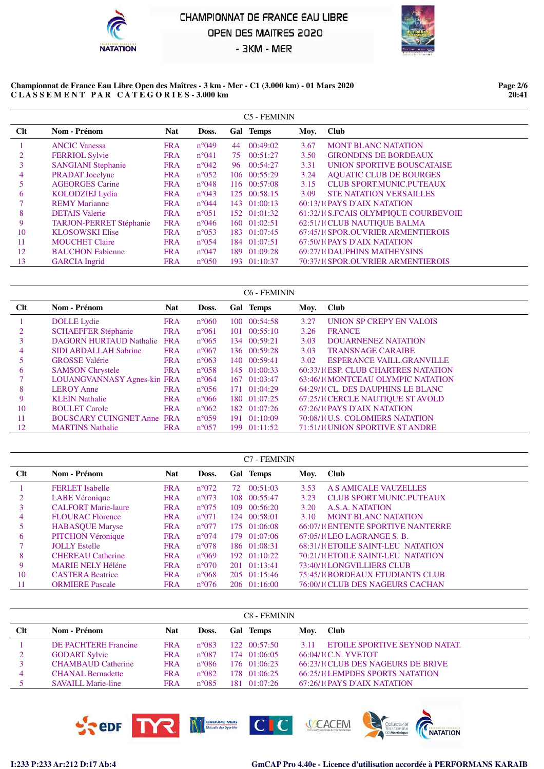



#### **Championnat de France Eau Libre Open des Maîtres - 3 km - Mer - C1 (3.000 km) - 01 Mars 2020 C L A S S E M E N T P A R C A T E G O R I E S - 3.000 km**

**Page 2/6 20:41**

|     |                                |            |                |    | C5 - FEMININ |      |                                      |
|-----|--------------------------------|------------|----------------|----|--------------|------|--------------------------------------|
| Clt | Nom - Prénom                   | <b>Nat</b> | Doss.          |    | Gal Temps    | Moy. | <b>Club</b>                          |
|     | <b>ANCIC Vanessa</b>           | <b>FRA</b> | $n^{\circ}049$ | 44 | 00:49:02     | 3.67 | <b>MONT BLANC NATATION</b>           |
|     | <b>FERRIOL Sylvie</b>          | <b>FRA</b> | $n^{\circ}041$ | 75 | 00:51:27     | 3.50 | <b>GIRONDINS DE BORDEAUX</b>         |
|     | <b>SANGIANI Stephanie</b>      | <b>FRA</b> | $n^{\circ}042$ |    | 96 00:54:27  | 3.31 | UNION SPORTIVE BOUSCATAISE           |
| 4   | <b>PRADAT</b> Jocelyne         | <b>FRA</b> | $n^{\circ}052$ |    | 106 00:55:29 | 3.24 | <b>AQUATIC CLUB DE BOURGES</b>       |
| 5   | <b>AGEORGES Carine</b>         | <b>FRA</b> | $n^{\circ}048$ |    | 116 00:57:08 | 3.15 | <b>CLUB SPORT.MUNIC.PUTEAUX</b>      |
| 6   | <b>KOLODZIEJ Lydia</b>         | <b>FRA</b> | $n^{\circ}043$ |    | 125 00:58:15 | 3.09 | <b>STE NATATION VERSAILLES</b>       |
|     | <b>REMY Marianne</b>           | <b>FRA</b> | $n^{\circ}044$ |    | 143 01:00:13 |      | 60:13/1(PAYS D'AIX NATATION          |
| 8   | <b>DETAIS</b> Valerie          | <b>FRA</b> | $n^{\circ}051$ |    | 152 01:01:32 |      | 61:32/1(S.FCAIS OLYMPIQUE COURBEVOIE |
| 9   | <b>TARJON-PERRET Stéphanie</b> | <b>FRA</b> | $n^{\circ}046$ |    | 160 01:02:51 |      | 62:51/1(CLUB NAUTIQUE BALMA          |
| 10  | <b>KLOSOWSKI Elise</b>         | <b>FRA</b> | $n^{\circ}053$ |    | 183 01:07:45 |      | 67:45/1(SPOR.OUVRIER ARMENTIEROIS    |
| 11  | <b>MOUCHET Claire</b>          | <b>FRA</b> | $n^{\circ}054$ |    | 184 01:07:51 |      | 67:50/10 PAYS D'AIX NATATION         |
| 12  | <b>BAUCHON Fabienne</b>        | <b>FRA</b> | $n^{\circ}047$ |    | 189 01:09:28 |      | 69:27/1(DAUPHINS MATHEYSINS          |
| 13  | <b>GARCIA</b> Ingrid           | <b>FRA</b> | $n^{\circ}050$ |    | 193 01:10:37 |      | 70:37/1(SPOR.OUVRIER ARMENTIEROIS    |

|     |                                   |            |                |     | C6 - FEMININ         |      |                                     |
|-----|-----------------------------------|------------|----------------|-----|----------------------|------|-------------------------------------|
| Clt | Nom - Prénom                      | <b>Nat</b> | Doss.          |     | Gal Temps            | Moy. | <b>Club</b>                         |
|     | <b>DOLLE</b> Lydie                | <b>FRA</b> | $n^{\circ}060$ | 100 | 00:54:58             | 3.27 | UNION SP CREPY EN VALOIS            |
|     | <b>SCHAEFFER Stéphanie</b>        | <b>FRA</b> | $n^{\circ}061$ |     | 101 00:55:10         | 3.26 | <b>FRANCE</b>                       |
|     | <b>DAGORN HURTAUD Nathalie</b>    | <b>FRA</b> | $n^{\circ}065$ |     | 134 00:59:21         | 3.03 | <b>DOUARNENEZ NATATION</b>          |
| 4   | <b>SIDI ABDALLAH Sabrine</b>      | <b>FRA</b> | $n^{\circ}067$ |     | 136 00:59:28         | 3.03 | <b>TRANSNAGE CARAIBE</b>            |
|     | <b>GROSSE Valérie</b>             | <b>FRA</b> | $n^{\circ}063$ |     | 140 00:59:41         | 3.02 | <b>ESPERANCE VAILL GRANVILLE</b>    |
| 6   | <b>SAMSON Chrystele</b>           | <b>FRA</b> | $n^{\circ}058$ |     | 145 01:00:33         |      | 60:33/1(ESP, CLUB CHARTRES NATATION |
|     | LOUANGVANNASY Agnes-kin FRA       |            | $n^{\circ}064$ |     | $167 \quad 01:03:47$ |      | 63:46/1(MONTCEAU OLYMPIC NATATION   |
| 8   | <b>LEROY Anne</b>                 | <b>FRA</b> | $n^{\circ}056$ |     | 171 01:04:29         |      | 64:29/1(CL. DES DAUPHINS LE BLANC   |
| 9   | <b>KLEIN Nathalie</b>             | <b>FRA</b> | $n^{\circ}066$ |     | 180 01:07:25         |      | 67:25/1(CERCLE NAUTIQUE ST AVOLD    |
| 10  | <b>BOULET</b> Carole              | <b>FRA</b> | $n^{\circ}062$ |     | 182 01:07:26         |      | 67:26/10 PAYS D'AIX NATATION        |
| 11  | <b>BOUSCARY CUINGNET Anne FRA</b> |            | $n^{\circ}059$ |     | 191 01:10:09         |      | 70:08/1(U.S. COLOMIERS NATATION     |
| 12  | <b>MARTINS</b> Nathalie           | <b>FRA</b> | $n^{\circ}057$ |     | 199 01:11:52         |      | 71:51/1(UNION SPORTIVE STANDRE      |

|     |                            |            |                |     | <b>C7 - FEMININ</b>  |      |                                          |
|-----|----------------------------|------------|----------------|-----|----------------------|------|------------------------------------------|
| Clt | Nom - Prénom               | <b>Nat</b> | Doss.          |     | Gal Temps            | Moy. | <b>Club</b>                              |
|     | <b>FERLET</b> Isabelle     | <b>FRA</b> | $n^{\circ}072$ | 72. | 00:51:03             | 3.53 | A S AMICALE VAUZELLES                    |
|     | LABE Véronique             | <b>FRA</b> | $n^{\circ}073$ |     | 108 00:55:47         | 3.23 | <b>CLUB SPORT.MUNIC.PUTEAUX</b>          |
|     | <b>CALFORT Marie-laure</b> | <b>FRA</b> | $n^{\circ}075$ |     | $109 \quad 00:56:20$ | 3.20 | A.S.A. NATATION                          |
| 4   | <b>FLOURAC Florence</b>    | <b>FRA</b> | $n^{\circ}071$ |     | 124 00:58:01         | 3.10 | <b>MONT BLANC NATATION</b>               |
|     | <b>HABASQUE Maryse</b>     | <b>FRA</b> | $n^{\circ}077$ |     | 175 01:06:08         |      | 66:07/10 ENTENTE SPORTIVE NANTERRE       |
| 6   | <b>PITCHON Véronique</b>   | <b>FRA</b> | $n^{\circ}074$ |     | 179 01:07:06         |      | $67:05/1$ (LEO LAGRANGE S. B.            |
|     | <b>JOLLY Estelle</b>       | <b>FRA</b> | $n^{\circ}078$ |     | 186 01:08:31         |      | <b>68:31/1(ETOILE SAINT-LEU NATATION</b> |
| 8   | <b>CHEREAU</b> Catherine   | <b>FRA</b> | $n^{\circ}069$ |     | $192 \quad 01:10:22$ |      | 70:21/1(ETOILE SAINT-LEU NATATION        |
| 9   | <b>MARIE NELY Héléne</b>   | <b>FRA</b> | $n^{\circ}070$ |     | $201 \quad 01:13:41$ |      | 73:40/1(LONGVILLIERS CLUB                |
| 10  | <b>CASTERA</b> Beatrice    | <b>FRA</b> | $n^{\circ}068$ |     | $205$ $01:15:46$     |      | 75:45/1(BORDEAUX ETUDIANTS CLUB          |
| -11 | <b>ORMIERE</b> Pascale     | <b>FRA</b> | $n^{\circ}076$ |     | 206 01:16:00         |      | 76:00/1(CLUB DES NAGEURS CACHAN          |

|     |                             |            |                | C8 - FEMININ         |      |                                         |
|-----|-----------------------------|------------|----------------|----------------------|------|-----------------------------------------|
| Clt | Nom - Prénom                | <b>Nat</b> | Doss.          | Gal Temps            | Moy. | <b>Club</b>                             |
|     | <b>DE PACHTERE Francine</b> | <b>FRA</b> | $n^{\circ}083$ | $122 \quad 00:57:50$ | 3.11 | ETOILE SPORTIVE SEYNOD NATAT.           |
| 2   | <b>GODART Sylvie</b>        | <b>FRA</b> | $n^{\circ}087$ | 174 01:06:05         |      | 66:04/1(C.N. YVETOT                     |
|     | <b>CHAMBAUD Catherine</b>   | <b>FRA</b> | $n^{\circ}086$ | 176 01:06:23         |      | 66:23/1(CLUB DES NAGEURS DE BRIVE       |
|     | <b>CHANAL Bernadette</b>    | <b>FRA</b> | $n^{\circ}082$ | 178 01:06:25         |      | <b>66:25/1(LEMPDES SPORTS NATATION)</b> |
|     | <b>SAVAILL Marie-line</b>   | <b>FRA</b> | $n^{\circ}085$ | 181 01:07:26         |      | 67:26/10 PAYS D'AIX NATATION            |

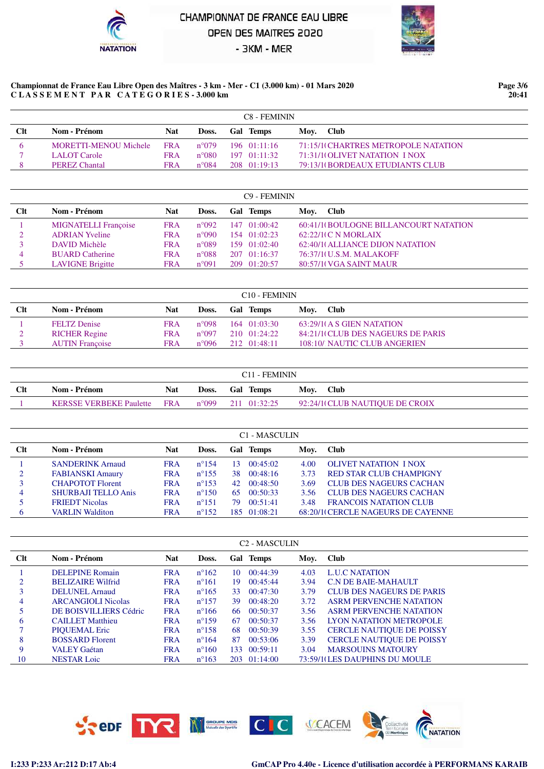



#### **Championnat de France Eau Libre Open des Maîtres - 3 km - Mer - C1 (3.000 km) - 01 Mars 2020 C L A S S E M E N T P A R C A T E G O R I E S - 3.000 km**

**Page 3/6 20:41**

|             |                       |            |                | C8 - FEMININ         |                                     |  |
|-------------|-----------------------|------------|----------------|----------------------|-------------------------------------|--|
| <b>C</b> lt | Nom - Prénom          | Nat        | Doss.          | <b>Gal Temps</b>     | Moy. Club                           |  |
|             | MORETTI-MENOU Michele | FR A       | $n^{\circ}079$ | $196 \quad 01:11:16$ | 71:15/1(CHARTRES METROPOLE NATATION |  |
|             | LALOT Carole          | <b>FRA</b> | $n^{\circ}080$ | $197 \quad 01:11:32$ | 71:31/1(OLIVET NATATION I NOX)      |  |
|             | <b>PEREZ Chantal</b>  | <b>FRA</b> | $n^{\circ}084$ | 208 01:19:13         | 79:13/1(BORDEAUX ETUDIANTS CLUB     |  |

|     |                             |            |                 |     | C <sub>9</sub> - FEMININ |                                       |
|-----|-----------------------------|------------|-----------------|-----|--------------------------|---------------------------------------|
| Clt | Nom - Prénom                | Nat        | Doss.           | Gal | Temps                    | Moy. Club                             |
|     | <b>MIGNATELLI</b> Françoise | <b>FRA</b> | $n^{\circ}092$  |     | $147 \quad 01:00:42$     | 60:41/10BOULOGNE BILLANCOURT NATATION |
|     | <b>ADRIAN Yveline</b>       | <b>FRA</b> | $n^{\circ}090$  |     | 154 01:02:23             | $62:22/1$ (C N MORLAIX)               |
|     | DAVID Michèle               | <b>FRA</b> | $n^{\circ}089$  |     | $159 \quad 01:02:40$     | 62:40/10 ALLIANCE DIJON NATATION      |
| 4   | <b>BUARD</b> Catherine      | <b>FRA</b> | $n^{\circ}$ 088 |     | $207 \quad 01:16:37$     | 76:37/1(U.S.M. MALAKOFF               |
|     | <b>LAVIGNE Brigitte</b>     | <b>FRA</b> | $n^{\circ}091$  |     | 209 01:20:57             | 80:57/1(VGA SAINT MAUR                |

|             |                        |            |                 | C <sub>10</sub> - FEMININ |                                   |
|-------------|------------------------|------------|-----------------|---------------------------|-----------------------------------|
| <b>C</b> It | Nom - Prénom           | Nat        | Doss.           | <b>Gal Temps</b>          | Moy. Club                         |
|             | <b>FELTZ</b> Denise    | <b>FRA</b> | n°098           | 164 01:03:30              | 63:29/1(A S GIEN NATATION         |
|             | <b>RICHER Regine</b>   | <b>FRA</b> | $n^{\circ}097$  | 210 01:24:22              | 84:21/1(CLUB DES NAGEURS DE PARIS |
|             | <b>AUTIN</b> Francoise | FRA        | $n^{\circ}$ 096 | 212 01:48:11              | 108:10/ NAUTIC CLUB ANGERIEN      |

| <b>Clt</b><br>Nat<br>Doss. Gal Temps<br>Nom - Prénom                                                   |  |  | C <sub>11</sub> - FEMININ |           |  |
|--------------------------------------------------------------------------------------------------------|--|--|---------------------------|-----------|--|
|                                                                                                        |  |  |                           | Moy. Club |  |
| 92:24/1(CLUB NAUTIQUE DE CROIX<br><b>KERSSE VERBEKE Paulette FRA</b><br>$n^{\circ}099$<br>211 01:32:25 |  |  |                           |           |  |

|     |                         |            |                 |    | C1 - MASCULIN |      |                                    |
|-----|-------------------------|------------|-----------------|----|---------------|------|------------------------------------|
| Clt | Nom - Prénom            | <b>Nat</b> | Doss.           |    | Gal Temps     | Moy. | <b>Club</b>                        |
|     | <b>SANDERINK Arnaud</b> | <b>FRA</b> | $n^{\circ}154$  | 13 | 00:45:02      | 4.00 | <b>OLIVET NATATION I NOX</b>       |
| 2   | <b>FABIANSKI Amaury</b> | <b>FRA</b> | $n^{\circ}$ 155 | 38 | 00:48:16      | 3.73 | <b>RED STAR CLUB CHAMPIGNY</b>     |
|     | <b>CHAPOTOT Florent</b> | <b>FRA</b> | $n^{\circ}153$  |    | 42 00:48:50   | 3.69 | CLUB DES NAGEURS CACHAN            |
| 4   | SHURBAJI TELLO Anis     | <b>FRA</b> | $n^{\circ}150$  | 65 | 00:50:33      | 3.56 | <b>CLUB DES NAGEURS CACHAN</b>     |
|     | <b>FRIEDT Nicolas</b>   | <b>FRA</b> | $n^{\circ}151$  | 79 | 00:51:41      | 3.48 | <b>FRANCOIS NATATION CLUB</b>      |
|     | <b>VARLIN Walditon</b>  | FRA        | $n^{\circ}152$  |    | 185 01:08:21  |      | 68:20/10 CERCLE NAGEURS DE CAYENNE |

|     |                           |            |                |      | <b>C<sub>2</sub></b> - MASCULIN |      |                                  |
|-----|---------------------------|------------|----------------|------|---------------------------------|------|----------------------------------|
| Clt | Nom - Prénom              | <b>Nat</b> | Doss.          |      | Gal Temps                       | Moy. | <b>Club</b>                      |
|     | <b>DELEPINE Romain</b>    | <b>FRA</b> | $n^{\circ}162$ | 10   | 00:44:39                        | 4.03 | <b>LUC NATATION</b>              |
|     | <b>BELIZAIRE Wilfrid</b>  | <b>FRA</b> | $n^{\circ}161$ | 19.  | 00:45:44                        | 3.94 | C.N DE BAIE-MAHAULT              |
|     | DELUNEL Arnaud            | <b>FRA</b> | $n^{\circ}165$ | 33   | 00:47:30                        | 3.79 | CLUB DES NAGEURS DE PARIS        |
| 4   | <b>ARCANGIOLI Nicolas</b> | <b>FRA</b> | $n^{\circ}157$ | 39   | 00:48:20                        | 3.72 | <b>ASRM PERVENCHE NATATION</b>   |
|     | DE BOISVILLIERS Cédric    | <b>FRA</b> | $n^{\circ}166$ | 66   | 00:50:37                        | 3.56 | <b>ASRM PERVENCHE NATATION</b>   |
| 6   | <b>CAILLET Matthieu</b>   | <b>FRA</b> | $n^{\circ}159$ | 67   | 00:50:37                        | 3.56 | LYON NATATION METROPOLE          |
|     | <b>PIOUEMAL Eric</b>      | <b>FRA</b> | $n^{\circ}158$ | 68   | 00:50:39                        | 3.55 | CERCLE NAUTIQUE DE POISSY        |
| 8   | <b>BOSSARD Florent</b>    | <b>FRA</b> | $n^{\circ}164$ | 87   | 00:53:06                        | 3.39 | <b>CERCLE NAUTIQUE DE POISSY</b> |
| 9   | <b>VALEY Gaétan</b>       | <b>FRA</b> | $n^{\circ}160$ | 133. | 00:59:11                        | 3.04 | <b>MARSOUINS MATOURY</b>         |
| 10  | <b>NESTAR</b> Loic        | <b>FRA</b> | $n^{\circ}163$ |      | 203 01:14:00                    |      | 73:59/1(LES DAUPHINS DU MOULE    |

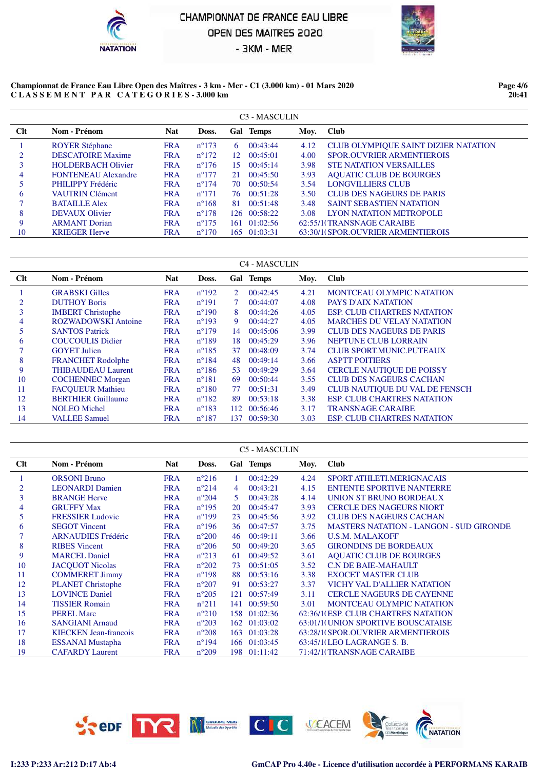



#### **Championnat de France Eau Libre Open des Maîtres - 3 km - Mer - C1 (3.000 km) - 01 Mars 2020 C L A S S E M E N T P A R C A T E G O R I E S - 3.000 km**

**Page 4/6 20:41**

|     |                            |            |                | C <sub>3</sub> - MASCULIN |      |                                      |
|-----|----------------------------|------------|----------------|---------------------------|------|--------------------------------------|
| Clt | Nom - Prénom               | <b>Nat</b> | Doss.          | Gal Temps                 | Moy. | <b>Club</b>                          |
|     | <b>ROYER Stéphane</b>      | <b>FRA</b> | $n^{\circ}173$ | 00:43:44<br>6             | 4.12 | CLUB OLYMPIQUE SAINT DIZIER NATATION |
|     | <b>DESCATOIRE Maxime</b>   | <b>FRA</b> | $n^{\circ}172$ | $12 \quad 00:45:01$       | 4.00 | <b>SPOR OUVRIER ARMENTIEROIS</b>     |
|     | <b>HOLDERBACH Olivier</b>  | <b>FRA</b> | $n^{\circ}176$ | 00:45:14<br>15.           | 3.98 | <b>STE NATATION VERSAILLES</b>       |
| 4   | <b>FONTENEAU Alexandre</b> | <b>FRA</b> | $n^{\circ}177$ | 00:45:50<br>21            | 3.93 | <b>AQUATIC CLUB DE BOURGES</b>       |
|     | PHILIPPY Frédéric          | <b>FRA</b> | $n^{\circ}174$ | 00:50:54<br>70            | 3.54 | <b>LONGVILLIERS CLUB</b>             |
| 6   | <b>VAUTRIN Clément</b>     | <b>FRA</b> | $n^{\circ}171$ | 00:51:28<br>76            | 3.50 | <b>CLUB DES NAGEURS DE PARIS</b>     |
|     | <b>BATAILLE Alex</b>       | <b>FRA</b> | $n^{\circ}168$ | 00:51:48<br>81            | 3.48 | <b>SAINT SEBASTIEN NATATION</b>      |
| 8   | <b>DEVAUX Olivier</b>      | <b>FRA</b> | $n^{\circ}178$ | 126 00:58:22              | 3.08 | LYON NATATION METROPOLE              |
| 9   | <b>ARMANT</b> Dorian       | <b>FRA</b> | $n^{\circ}175$ | $161 \quad 01:02:56$      |      | 62:55/1(TRANSNAGE CARAIBE            |
| 10  | <b>KRIEGER Herve</b>       | <b>FRA</b> | $n^{\circ}170$ | 165 01:03:31              |      | 63:30/1(SPOR.OUVRIER ARMENTIEROIS    |

|     |                            |            |                |     | C <sub>4</sub> - MASCULIN |      |                                       |
|-----|----------------------------|------------|----------------|-----|---------------------------|------|---------------------------------------|
| Clt | Nom - Prénom               | <b>Nat</b> | Doss.          |     | Gal Temps                 | Moy. | <b>Club</b>                           |
|     | <b>GRABSKI</b> Gilles      | <b>FRA</b> | $n^{\circ}192$ | 2   | 00:42:45                  | 4.21 | <b>MONTCEAU OLYMPIC NATATION</b>      |
| 2   | <b>DUTHOY Boris</b>        | <b>FRA</b> | $n^{\circ}191$ | 7   | 00:44:07                  | 4.08 | <b>PAYS D'AIX NATATION</b>            |
| 3   | <b>IMBERT</b> Christophe   | <b>FRA</b> | $n^{\circ}190$ | 8   | 00:44:26                  | 4.05 | <b>ESP. CLUB CHARTRES NATATION</b>    |
| 4   | <b>ROZWADOWSKI</b> Antoine | <b>FRA</b> | $n^{\circ}193$ | 9   | 00:44:27                  | 4.05 | <b>MARCHES DU VELAY NATATION</b>      |
| 5   | <b>SANTOS Patrick</b>      | <b>FRA</b> | $n^{\circ}179$ | 14  | 00:45:06                  | 3.99 | <b>CLUB DES NAGEURS DE PARIS</b>      |
| 6   | <b>COUCOULIS Didier</b>    | <b>FRA</b> | $n^{\circ}189$ | 18. | 00:45:29                  | 3.96 | <b>NEPTUNE CLUB LORRAIN</b>           |
|     | <b>GOYET Julien</b>        | <b>FRA</b> | $n^{\circ}185$ | 37  | 00:48:09                  | 3.74 | <b>CLUB SPORT.MUNIC.PUTEAUX</b>       |
| 8   | <b>FRANCHET Rodolphe</b>   | <b>FRA</b> | $n^{\circ}184$ | 48  | 00:49:14                  | 3.66 | <b>ASPTT POITIERS</b>                 |
| 9   | <b>THIBAUDEAU Laurent</b>  | <b>FRA</b> | $n^{\circ}186$ | 53  | 00:49:29                  | 3.64 | <b>CERCLE NAUTIOUE DE POISSY</b>      |
| 10  | <b>COCHENNEC Morgan</b>    | <b>FRA</b> | $n^{\circ}181$ | 69  | 00:50:44                  | 3.55 | <b>CLUB DES NAGEURS CACHAN</b>        |
| 11  | <b>FACOUEUR Mathieu</b>    | <b>FRA</b> | $n^{\circ}180$ | 77  | 00:51:31                  | 3.49 | <b>CLUB NAUTIOUE DU VAL DE FENSCH</b> |
| 12  | <b>BERTHIER Guillaume</b>  | <b>FRA</b> | $n^{\circ}182$ | 89  | 00:53:18                  | 3.38 | <b>ESP. CLUB CHARTRES NATATION</b>    |
| 13  | <b>NOLEO</b> Michel        | <b>FRA</b> | $n^{\circ}183$ |     | 112 00:56:46              | 3.17 | <b>TRANSNAGE CARAIBE</b>              |
| 14  | <b>VALLEE Samuel</b>       | <b>FRA</b> | $n^{\circ}187$ | 137 | 00:59:30                  | 3.03 | <b>ESP. CLUB CHARTRES NATATION</b>    |

|     |                              |            |                |     | C5 - MASCULIN |      |                                                |
|-----|------------------------------|------------|----------------|-----|---------------|------|------------------------------------------------|
| Clt | Nom - Prénom                 | <b>Nat</b> | Doss.          |     | Gal Temps     | Moy. | <b>Club</b>                                    |
| 1   | <b>ORSONI Bruno</b>          | <b>FRA</b> | $n^{\circ}216$ |     | 00:42:29      | 4.24 | <b>SPORT ATHLETI, MERIGNACAIS</b>              |
| 2   | <b>LEONARDI</b> Damien       | <b>FRA</b> | $n^{\circ}214$ | 4   | 00:43:21      | 4.15 | <b>ENTENTE SPORTIVE NANTERRE</b>               |
| 3   | <b>BRANGE Herve</b>          | <b>FRA</b> | $n^{\circ}204$ | 5   | 00:43:28      | 4.14 | UNION ST BRUNO BORDEAUX                        |
| 4   | <b>GRUFFY Max</b>            | <b>FRA</b> | $n^{\circ}195$ | 20  | 00:45:47      | 3.93 | <b>CERCLE DES NAGEURS NIORT</b>                |
| 5   | <b>FRESSIER Ludovic</b>      | <b>FRA</b> | $n^{\circ}199$ | 23  | 00:45:56      | 3.92 | <b>CLUB DES NAGEURS CACHAN</b>                 |
| 6   | <b>SEGOT</b> Vincent         | <b>FRA</b> | $n^{\circ}196$ | 36  | 00:47:57      | 3.75 | <b>MASTERS NATATION - LANGON - SUD GIRONDE</b> |
|     | <b>ARNAUDIES Frédéric</b>    | <b>FRA</b> | $n^{\circ}200$ | 46  | 00:49:11      | 3.66 | <b>U.S.M. MALAKOFF</b>                         |
| 8   | <b>RIBES</b> Vincent         | <b>FRA</b> | $n^{\circ}206$ | 50  | 00:49:20      | 3.65 | <b>GIRONDINS DE BORDEAUX</b>                   |
| 9   | <b>MARCEL Daniel</b>         | <b>FRA</b> | $n^{\circ}213$ | 61  | 00:49:52      | 3.61 | <b>AQUATIC CLUB DE BOURGES</b>                 |
| 10  | <b>JACQUOT Nicolas</b>       | <b>FRA</b> | $n^{\circ}202$ | 73  | 00:51:05      | 3.52 | <b>C.N DE BAIE-MAHAULT</b>                     |
| 11  | <b>COMMERET Jimmy</b>        | <b>FRA</b> | $n^{\circ}198$ | 88  | 00:53:16      | 3.38 | <b>EXOCET MASTER CLUB</b>                      |
| 12  | <b>PLANET Christophe</b>     | <b>FRA</b> | $n^{\circ}207$ | 91  | 00:53:27      | 3.37 | <b>VICHY VAL D'ALLIER NATATION</b>             |
| 13  | <b>LOVINCE Daniel</b>        | <b>FRA</b> | $n^{\circ}205$ | 121 | 00:57:49      | 3.11 | <b>CERCLE NAGEURS DE CAYENNE</b>               |
| 14  | <b>TISSIER Romain</b>        | <b>FRA</b> | $n^{\circ}211$ | 141 | 00:59:50      | 3.01 | <b>MONTCEAU OLYMPIC NATATION</b>               |
| 15  | <b>PEREL Marc</b>            | <b>FRA</b> | $n^{\circ}210$ | 158 | 01:02:36      |      | 62:36/1(ESP, CLUB CHARTRES NATATION            |
| 16  | <b>SANGIANI Arnaud</b>       | <b>FRA</b> | $n^{\circ}203$ | 162 | 01:03:02      |      | 63:01/1(UNION SPORTIVE BOUSCATAISE             |
| 17  | <b>KIECKEN</b> Jean-francois | <b>FRA</b> | $n^{\circ}208$ | 163 | 01:03:28      |      | 63:28/1(SPOR.OUVRIER ARMENTIEROIS              |
| 18  | <b>ESSANAI Mustapha</b>      | <b>FRA</b> | $n^{\circ}194$ |     | 166 01:03:45  |      | 63:45/1(LEO LAGRANGE S. B.                     |
| 19  | <b>CAFARDY</b> Laurent       | <b>FRA</b> | $n^{\circ}209$ | 198 | 01:11:42      |      | 71:42/1(TRANSNAGE CARAIBE                      |

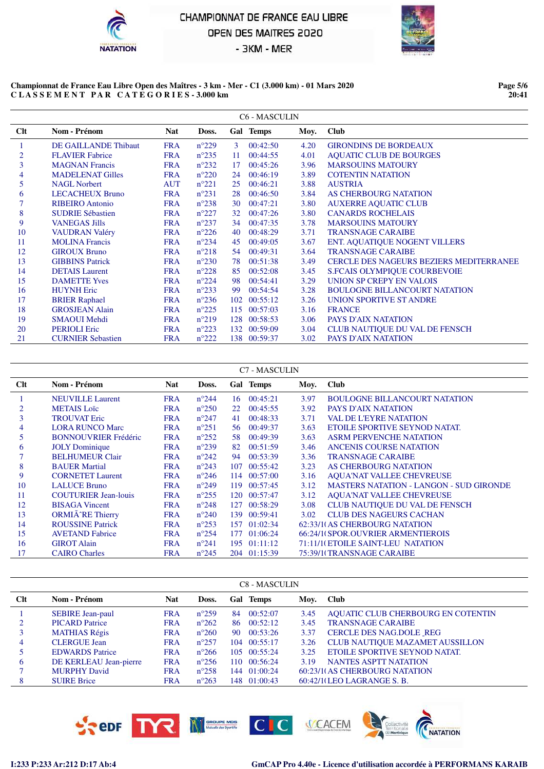



#### **Championnat de France Eau Libre Open des Maîtres - 3 km - Mer - C1 (3.000 km) - 01 Mars 2020 C L A S S E M E N T P A R C A T E G O R I E S - 3.000 km**

**Page 5/6 20:41**

|     |                          |            |                |    | <b>C6 - MASCULIN</b> |      |                                                |
|-----|--------------------------|------------|----------------|----|----------------------|------|------------------------------------------------|
| Clt | Nom - Prénom             | <b>Nat</b> | Doss.          |    | Gal Temps            | Moy. | <b>Club</b>                                    |
|     | DE GAILLANDE Thibaut     | <b>FRA</b> | $n^{\circ}229$ | 3  | 00:42:50             | 4.20 | <b>GIRONDINS DE BORDEAUX</b>                   |
| 2   | <b>FLAVIER Fabrice</b>   | <b>FRA</b> | $n^{\circ}235$ | 11 | 00:44:55             | 4.01 | <b>AQUATIC CLUB DE BOURGES</b>                 |
| 3   | <b>MAGNAN Francis</b>    | <b>FRA</b> | $n^{\circ}232$ | 17 | 00:45:26             | 3.96 | <b>MARSOUINS MATOURY</b>                       |
| 4   | <b>MADELENAT Gilles</b>  | <b>FRA</b> | $n^{\circ}220$ | 24 | 00:46:19             | 3.89 | <b>COTENTIN NATATION</b>                       |
| 5   | <b>NAGL Norbert</b>      | <b>AUT</b> | $n^{\circ}221$ | 25 | 00:46:21             | 3.88 | <b>AUSTRIA</b>                                 |
| 6   | <b>LECACHEUX Bruno</b>   | <b>FRA</b> | $n^{\circ}231$ | 28 | 00:46:50             | 3.84 | <b>AS CHERBOURG NATATION</b>                   |
|     | <b>RIBEIRO</b> Antonio   | <b>FRA</b> | $n^{\circ}238$ | 30 | 00:47:21             | 3.80 | <b>AUXERRE AQUATIC CLUB</b>                    |
| 8   | <b>SUDRIE Sébastien</b>  | <b>FRA</b> | $n^{\circ}227$ | 32 | 00:47:26             | 3.80 | <b>CANARDS ROCHELAIS</b>                       |
| 9   | <b>VANEGAS Jills</b>     | <b>FRA</b> | $n^{\circ}237$ | 34 | 00:47:35             | 3.78 | <b>MARSOUINS MATOURY</b>                       |
| 10  | <b>VAUDRAN Valéry</b>    | <b>FRA</b> | $n^{\circ}226$ | 40 | 00:48:29             | 3.71 | <b>TRANSNAGE CARAIBE</b>                       |
| 11  | <b>MOLINA Francis</b>    | <b>FRA</b> | $n^{\circ}234$ | 45 | 00:49:05             | 3.67 | <b>ENT. AQUATIQUE NOGENT VILLERS</b>           |
| 12  | <b>GIROUX Bruno</b>      | <b>FRA</b> | $n^{\circ}218$ |    | 54 00:49:31          | 3.64 | <b>TRANSNAGE CARAIBE</b>                       |
| 13  | <b>GIBBINS Patrick</b>   | <b>FRA</b> | $n^{\circ}230$ | 78 | 00:51:38             | 3.49 | <b>CERCLE DES NAGEURS BEZIERS MEDITERRANEE</b> |
| 14  | <b>DETAIS</b> Laurent    | <b>FRA</b> | $n^{\circ}228$ | 85 | 00:52:08             | 3.45 | <b>S.FCAIS OLYMPIQUE COURBEVOIE</b>            |
| 15  | <b>DAMETTE Yves</b>      | <b>FRA</b> | $n^{\circ}224$ | 98 | 00:54:41             | 3.29 | UNION SP CREPY EN VALOIS                       |
| 16  | <b>HUYNH</b> Eric        | <b>FRA</b> | $n^{\circ}233$ | 99 | 00:54:54             | 3.28 | <b>BOULOGNE BILLANCOURT NATATION</b>           |
| 17  | <b>BRIER Raphael</b>     | <b>FRA</b> | $n^{\circ}236$ |    | 102 00:55:12         | 3.26 | UNION SPORTIVE ST ANDRE                        |
| 18  | <b>GROSJEAN Alain</b>    | <b>FRA</b> | $n^{\circ}225$ |    | 115 00:57:03         | 3.16 | <b>FRANCE</b>                                  |
| 19  | <b>SMAOUI Mehdi</b>      | <b>FRA</b> | $n^{\circ}219$ |    | 128 00:58:53         | 3.06 | PAYS D'AIX NATATION                            |
| 20  | <b>PERIOLI Eric</b>      | <b>FRA</b> | $n^{\circ}223$ |    | 132 00:59:09         | 3.04 | <b>CLUB NAUTIQUE DU VAL DE FENSCH</b>          |
| 21  | <b>CURNIER Sebastien</b> | FRA        | $n^{\circ}222$ |    | 138 00:59:37         | 3.02 | PAYS D'AIX NATATION                            |

|     |                             |            |                |     | C7 - MASCULIN |      |                                                |
|-----|-----------------------------|------------|----------------|-----|---------------|------|------------------------------------------------|
| Clt | Nom - Prénom                | <b>Nat</b> | Doss.          |     | Gal Temps     | Moy. | <b>Club</b>                                    |
|     | <b>NEUVILLE Laurent</b>     | <b>FRA</b> | $n^{\circ}244$ | 16. | 00:45:21      | 3.97 | <b>BOULOGNE BILLANCOURT NATATION</b>           |
|     | <b>METAIS</b> Loïc          | <b>FRA</b> | $n^{\circ}250$ | 22  | 00:45:55      | 3.92 | <b>PAYS D'AIX NATATION</b>                     |
| 3   | <b>TROUVAT Eric</b>         | <b>FRA</b> | $n^{\circ}247$ | 41  | 00:48:33      | 3.71 | <b>VAL DE L'EYRE NATATION</b>                  |
| 4   | <b>LORA RUNCO Marc</b>      | <b>FRA</b> | $n^{\circ}251$ | 56  | 00:49:37      | 3.63 | ETOILE SPORTIVE SEYNOD NATAT.                  |
| 5.  | <b>BONNOUVRIER Frédéric</b> | <b>FRA</b> | $n^{\circ}252$ | 58  | 00:49:39      | 3.63 | <b>ASRM PERVENCHE NATATION</b>                 |
| 6   | <b>JOLY</b> Dominique       | <b>FRA</b> | $n^{\circ}239$ | 82  | 00:51:59      | 3.46 | <b>ANCENIS COURSE NATATION</b>                 |
|     | <b>BELHUMEUR Clair</b>      | <b>FRA</b> | $n^{\circ}242$ | 94  | 00:53:39      | 3.36 | <b>TRANSNAGE CARAIBE</b>                       |
| 8   | <b>BAUER Martial</b>        | <b>FRA</b> | $n^{\circ}243$ | 107 | 00:55:42      | 3.23 | <b>AS CHERBOURG NATATION</b>                   |
| 9   | <b>CORNETET Laurent</b>     | <b>FRA</b> | $n^{\circ}246$ | 114 | 00:57:00      | 3.16 | <b>AQUA'NAT VALLEE CHEVREUSE</b>               |
| 10  | <b>LALUCE Bruno</b>         | <b>FRA</b> | $n^{\circ}249$ | 119 | 00:57:45      | 3.12 | <b>MASTERS NATATION - LANGON - SUD GIRONDE</b> |
| 11  | <b>COUTURIER Jean-louis</b> | <b>FRA</b> | $n^{\circ}255$ | 120 | 00:57:47      | 3.12 | <b>AOUA'NAT VALLEE CHEVREUSE</b>               |
| 12  | <b>BISAGA Vincent</b>       | <b>FRA</b> | $n^{\circ}248$ | 127 | 00:58:29      | 3.08 | CLUB NAUTIQUE DU VAL DE FENSCH                 |
| 13  | ORMIÃ^RE Thierry            | <b>FRA</b> | $n^{\circ}240$ |     | 139 00:59:41  | 3.02 | <b>CLUB DES NAGEURS CACHAN</b>                 |
| 14  | <b>ROUSSINE Patrick</b>     | <b>FRA</b> | $n^{\circ}253$ | 157 | 01:02:34      |      | 62:33/10AS CHERBOURG NATATION                  |
| 15  | <b>AVETAND Fabrice</b>      | <b>FRA</b> | $n^{\circ}254$ | 177 | 01:06:24      |      | 66:24/10SPOR.OUVRIER ARMENTIEROIS              |
| 16  | <b>GIROT Alain</b>          | <b>FRA</b> | $n^{\circ}241$ |     | 195 01:11:12  |      | 71:11/1(ETOILE SAINT-LEU NATATION              |
| 17  | <b>CAIRO Charles</b>        | <b>FRA</b> | $n^{\circ}245$ |     | 204 01:15:39  |      | 75:39/1(TRANSNAGE CARAIBE                      |

|     |                         |            |                |    | <b>C8 - MASCULIN</b> |      |                                        |
|-----|-------------------------|------------|----------------|----|----------------------|------|----------------------------------------|
| Clt | Nom - Prénom            | <b>Nat</b> | Doss.          |    | Gal Temps            | Moy. | <b>Club</b>                            |
|     | <b>SEBIRE</b> Jean-paul | <b>FRA</b> | $n^{\circ}259$ | 84 | 00:52:07             | 3.45 | AQUATIC CLUB CHERBOURG EN COTENTIN     |
|     | <b>PICARD</b> Patrice   | <b>FRA</b> | $n^{\circ}262$ | 86 | 00:52:12             | 3.45 | <b>TRANSNAGE CARAIBE</b>               |
|     | <b>MATHIAS Régis</b>    | <b>FRA</b> | $n^{\circ}260$ | 90 | 00:53:26             | 3.37 | <b>CERCLE DES NAG.DOLE REG</b>         |
| 4   | <b>CLERGUE Jean</b>     | <b>FRA</b> | $n^{\circ}257$ |    | 104 00:55:17         | 3.26 | <b>CLUB NAUTIQUE MAZAMET AUSSILLON</b> |
|     | <b>EDWARDS</b> Patrice  | <b>FRA</b> | $n^{\circ}266$ |    | $105 \quad 00:55:24$ | 3.25 | ETOILE SPORTIVE SEYNOD NATAT.          |
| 6   | DE KERLEAU Jean-pierre  | <b>FRA</b> | $n^{\circ}256$ |    | 110 00:56:24         | 3.19 | <b>NANTES ASPTT NATATION</b>           |
|     | <b>MURPHY David</b>     | <b>FRA</b> | $n^{\circ}258$ |    | 144 01:00:24         |      | 60:23/10AS CHERBOURG NATATION          |
| 8   | <b>SUIRE Brice</b>      | <b>FRA</b> | $n^{\circ}263$ |    | 148 01:00:43         |      | 60:42/1(LEO LAGRANGE S. B.             |